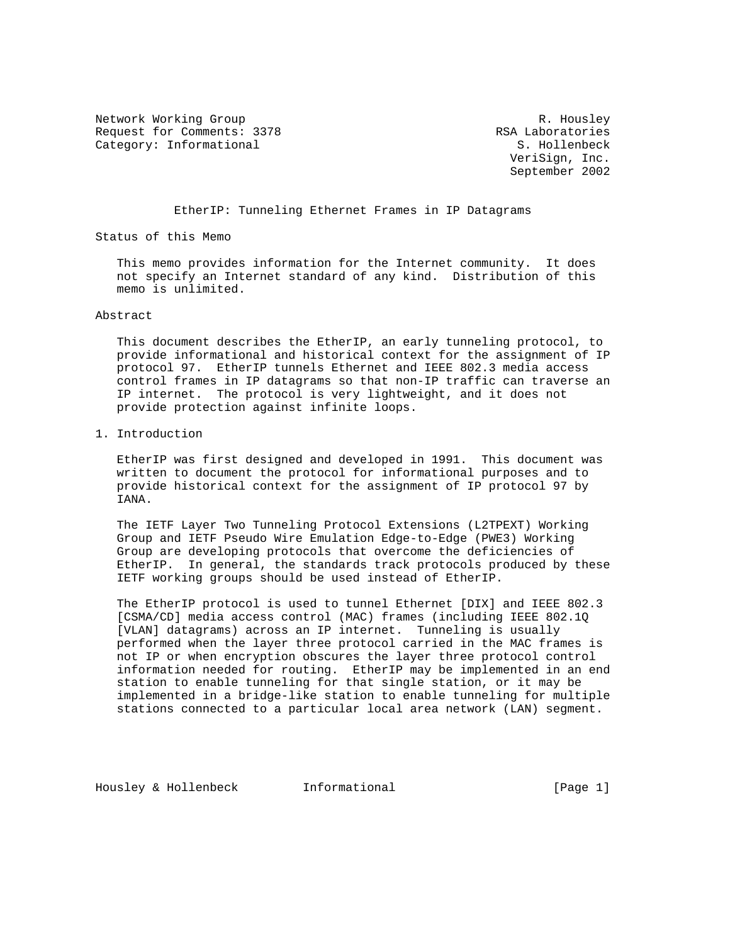Network Working Group and the set of the set of the set of the R. Housley Request for Comments: 3378 RSA Laboratories<br>
Category: Informational RSA Laboratories<br>
RSA Laboratories Category: Informational

 VeriSign, Inc. September 2002

## EtherIP: Tunneling Ethernet Frames in IP Datagrams

Status of this Memo

 This memo provides information for the Internet community. It does not specify an Internet standard of any kind. Distribution of this memo is unlimited.

### Abstract

 This document describes the EtherIP, an early tunneling protocol, to provide informational and historical context for the assignment of IP protocol 97. EtherIP tunnels Ethernet and IEEE 802.3 media access control frames in IP datagrams so that non-IP traffic can traverse an IP internet. The protocol is very lightweight, and it does not provide protection against infinite loops.

1. Introduction

 EtherIP was first designed and developed in 1991. This document was written to document the protocol for informational purposes and to provide historical context for the assignment of IP protocol 97 by IANA.

 The IETF Layer Two Tunneling Protocol Extensions (L2TPEXT) Working Group and IETF Pseudo Wire Emulation Edge-to-Edge (PWE3) Working Group are developing protocols that overcome the deficiencies of EtherIP. In general, the standards track protocols produced by these IETF working groups should be used instead of EtherIP.

 The EtherIP protocol is used to tunnel Ethernet [DIX] and IEEE 802.3 [CSMA/CD] media access control (MAC) frames (including IEEE 802.1Q [VLAN] datagrams) across an IP internet. Tunneling is usually performed when the layer three protocol carried in the MAC frames is not IP or when encryption obscures the layer three protocol control information needed for routing. EtherIP may be implemented in an end station to enable tunneling for that single station, or it may be implemented in a bridge-like station to enable tunneling for multiple stations connected to a particular local area network (LAN) segment.

Housley & Hollenbeck Informational [Page 1]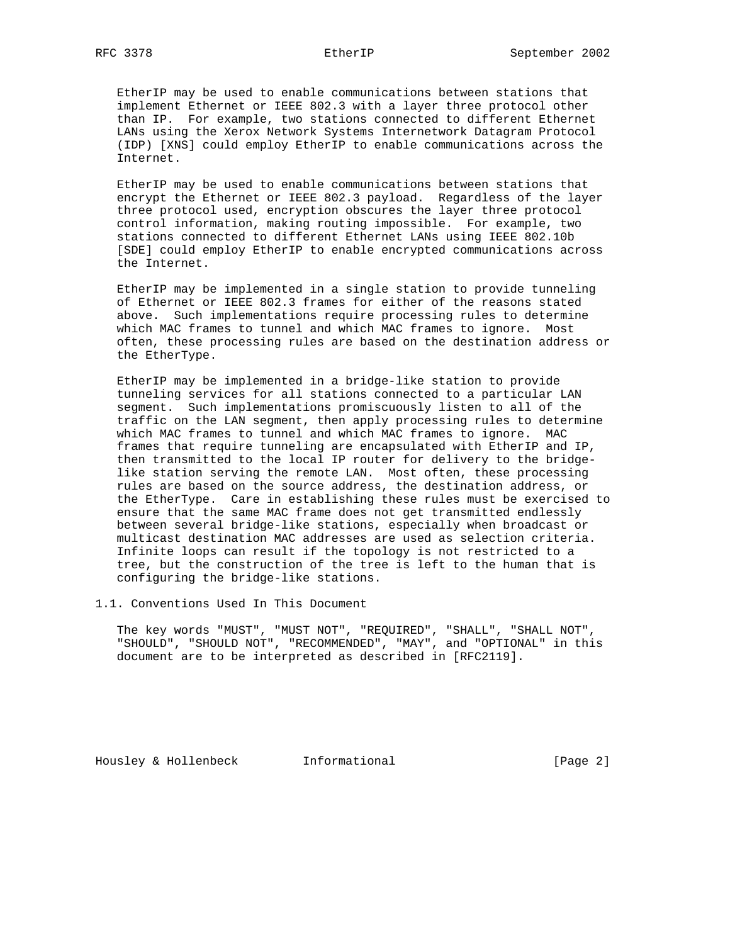EtherIP may be used to enable communications between stations that implement Ethernet or IEEE 802.3 with a layer three protocol other than IP. For example, two stations connected to different Ethernet LANs using the Xerox Network Systems Internetwork Datagram Protocol (IDP) [XNS] could employ EtherIP to enable communications across the Internet.

 EtherIP may be used to enable communications between stations that encrypt the Ethernet or IEEE 802.3 payload. Regardless of the layer three protocol used, encryption obscures the layer three protocol control information, making routing impossible. For example, two stations connected to different Ethernet LANs using IEEE 802.10b [SDE] could employ EtherIP to enable encrypted communications across the Internet.

 EtherIP may be implemented in a single station to provide tunneling of Ethernet or IEEE 802.3 frames for either of the reasons stated above. Such implementations require processing rules to determine which MAC frames to tunnel and which MAC frames to ignore. Most often, these processing rules are based on the destination address or the EtherType.

 EtherIP may be implemented in a bridge-like station to provide tunneling services for all stations connected to a particular LAN segment. Such implementations promiscuously listen to all of the traffic on the LAN segment, then apply processing rules to determine which MAC frames to tunnel and which MAC frames to ignore. MAC frames that require tunneling are encapsulated with EtherIP and IP, then transmitted to the local IP router for delivery to the bridge like station serving the remote LAN. Most often, these processing rules are based on the source address, the destination address, or the EtherType. Care in establishing these rules must be exercised to ensure that the same MAC frame does not get transmitted endlessly between several bridge-like stations, especially when broadcast or multicast destination MAC addresses are used as selection criteria. Infinite loops can result if the topology is not restricted to a tree, but the construction of the tree is left to the human that is configuring the bridge-like stations.

1.1. Conventions Used In This Document

 The key words "MUST", "MUST NOT", "REQUIRED", "SHALL", "SHALL NOT", "SHOULD", "SHOULD NOT", "RECOMMENDED", "MAY", and "OPTIONAL" in this document are to be interpreted as described in [RFC2119].

Housley & Hollenbeck Informational [Page 2]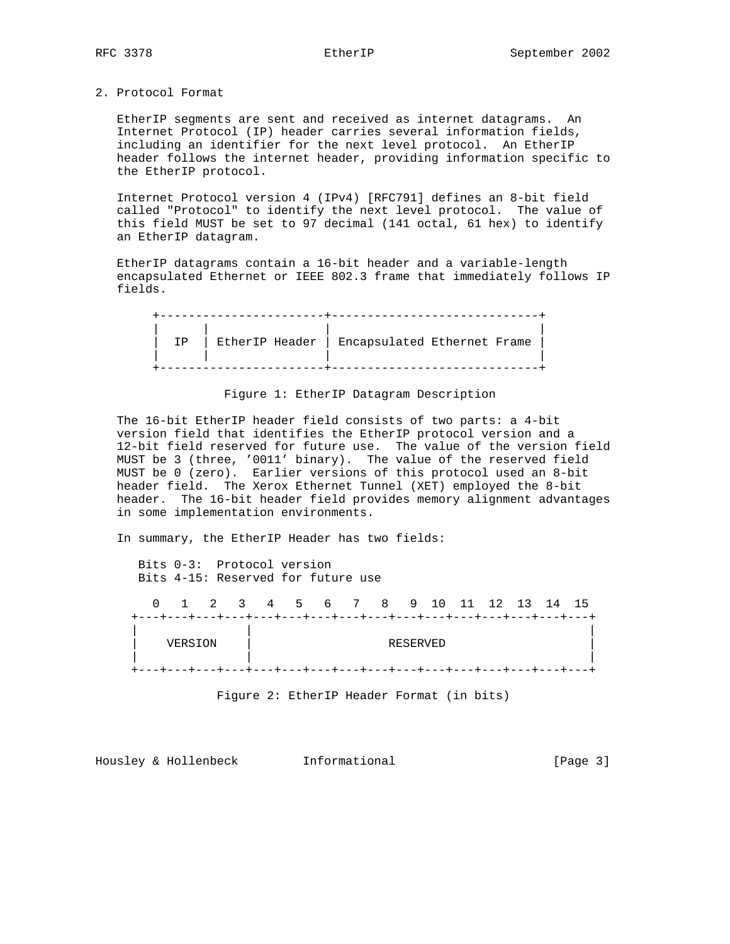## 2. Protocol Format

 EtherIP segments are sent and received as internet datagrams. An Internet Protocol (IP) header carries several information fields, including an identifier for the next level protocol. An EtherIP header follows the internet header, providing information specific to the EtherIP protocol.

 Internet Protocol version 4 (IPv4) [RFC791] defines an 8-bit field called "Protocol" to identify the next level protocol. The value of this field MUST be set to 97 decimal (141 octal, 61 hex) to identify an EtherIP datagram.

 EtherIP datagrams contain a 16-bit header and a variable-length encapsulated Ethernet or IEEE 802.3 frame that immediately follows IP fields.

| TD | EtherIP Header   Encapsulated Ethernet Frame |  |  |
|----|----------------------------------------------|--|--|
|    |                                              |  |  |
|    |                                              |  |  |

Figure 1: EtherIP Datagram Description

 The 16-bit EtherIP header field consists of two parts: a 4-bit version field that identifies the EtherIP protocol version and a 12-bit field reserved for future use. The value of the version field MUST be 3 (three, '0011' binary). The value of the reserved field MUST be 0 (zero). Earlier versions of this protocol used an 8-bit header field. The Xerox Ethernet Tunnel (XET) employed the 8-bit header. The 16-bit header field provides memory alignment advantages in some implementation environments.

In summary, the EtherIP Header has two fields:

 Bits 0-3: Protocol version Bits 4-15: Reserved for future use 0 1 2 3 4 5 6 7 8 9 10 11 12 13 14 15 +---+---+---+---+---+---+---+---+---+---+---+---+---+---+---+---+ | | | | VERSION | RESERVED | | | | +---+---+---+---+---+---+---+---+---+---+---+---+---+---+---+---+

Figure 2: EtherIP Header Format (in bits)

Housley & Hollenbeck 1nformational [Page 3]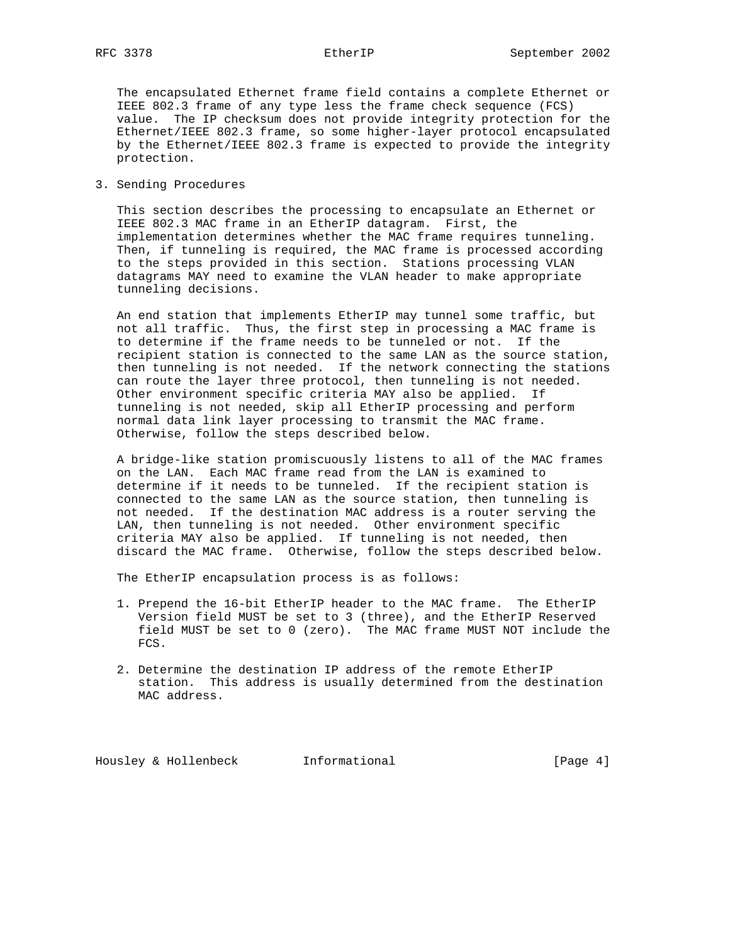The encapsulated Ethernet frame field contains a complete Ethernet or IEEE 802.3 frame of any type less the frame check sequence (FCS) value. The IP checksum does not provide integrity protection for the Ethernet/IEEE 802.3 frame, so some higher-layer protocol encapsulated by the Ethernet/IEEE 802.3 frame is expected to provide the integrity protection.

3. Sending Procedures

 This section describes the processing to encapsulate an Ethernet or IEEE 802.3 MAC frame in an EtherIP datagram. First, the implementation determines whether the MAC frame requires tunneling. Then, if tunneling is required, the MAC frame is processed according to the steps provided in this section. Stations processing VLAN datagrams MAY need to examine the VLAN header to make appropriate tunneling decisions.

 An end station that implements EtherIP may tunnel some traffic, but not all traffic. Thus, the first step in processing a MAC frame is to determine if the frame needs to be tunneled or not. If the recipient station is connected to the same LAN as the source station, then tunneling is not needed. If the network connecting the stations can route the layer three protocol, then tunneling is not needed. Other environment specific criteria MAY also be applied. If tunneling is not needed, skip all EtherIP processing and perform normal data link layer processing to transmit the MAC frame. Otherwise, follow the steps described below.

 A bridge-like station promiscuously listens to all of the MAC frames on the LAN. Each MAC frame read from the LAN is examined to determine if it needs to be tunneled. If the recipient station is connected to the same LAN as the source station, then tunneling is not needed. If the destination MAC address is a router serving the LAN, then tunneling is not needed. Other environment specific criteria MAY also be applied. If tunneling is not needed, then discard the MAC frame. Otherwise, follow the steps described below.

The EtherIP encapsulation process is as follows:

- 1. Prepend the 16-bit EtherIP header to the MAC frame. The EtherIP Version field MUST be set to 3 (three), and the EtherIP Reserved field MUST be set to 0 (zero). The MAC frame MUST NOT include the FCS.
- 2. Determine the destination IP address of the remote EtherIP station. This address is usually determined from the destination MAC address.

Housley & Hollenbeck 1nformational [Page 4]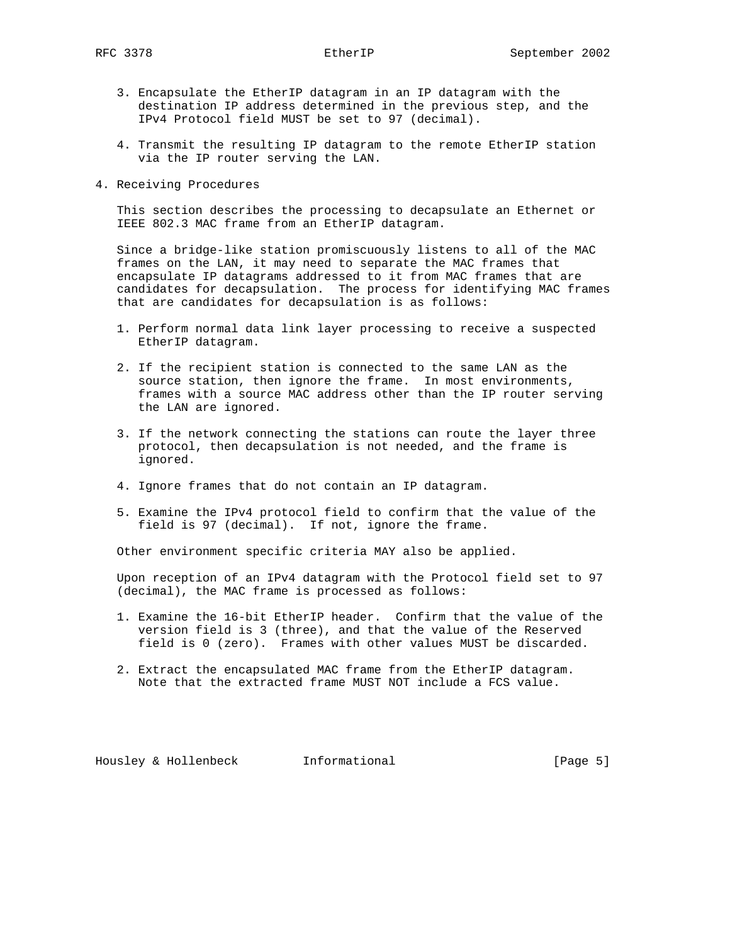- 3. Encapsulate the EtherIP datagram in an IP datagram with the destination IP address determined in the previous step, and the IPv4 Protocol field MUST be set to 97 (decimal).
- 4. Transmit the resulting IP datagram to the remote EtherIP station via the IP router serving the LAN.
- 4. Receiving Procedures

 This section describes the processing to decapsulate an Ethernet or IEEE 802.3 MAC frame from an EtherIP datagram.

 Since a bridge-like station promiscuously listens to all of the MAC frames on the LAN, it may need to separate the MAC frames that encapsulate IP datagrams addressed to it from MAC frames that are candidates for decapsulation. The process for identifying MAC frames that are candidates for decapsulation is as follows:

- 1. Perform normal data link layer processing to receive a suspected EtherIP datagram.
- 2. If the recipient station is connected to the same LAN as the source station, then ignore the frame. In most environments, frames with a source MAC address other than the IP router serving the LAN are ignored.
- 3. If the network connecting the stations can route the layer three protocol, then decapsulation is not needed, and the frame is ignored.
- 4. Ignore frames that do not contain an IP datagram.
- 5. Examine the IPv4 protocol field to confirm that the value of the field is 97 (decimal). If not, ignore the frame.

Other environment specific criteria MAY also be applied.

 Upon reception of an IPv4 datagram with the Protocol field set to 97 (decimal), the MAC frame is processed as follows:

- 1. Examine the 16-bit EtherIP header. Confirm that the value of the version field is 3 (three), and that the value of the Reserved field is 0 (zero). Frames with other values MUST be discarded.
- 2. Extract the encapsulated MAC frame from the EtherIP datagram. Note that the extracted frame MUST NOT include a FCS value.

Housley & Hollenbeck 1nformational (Page 5)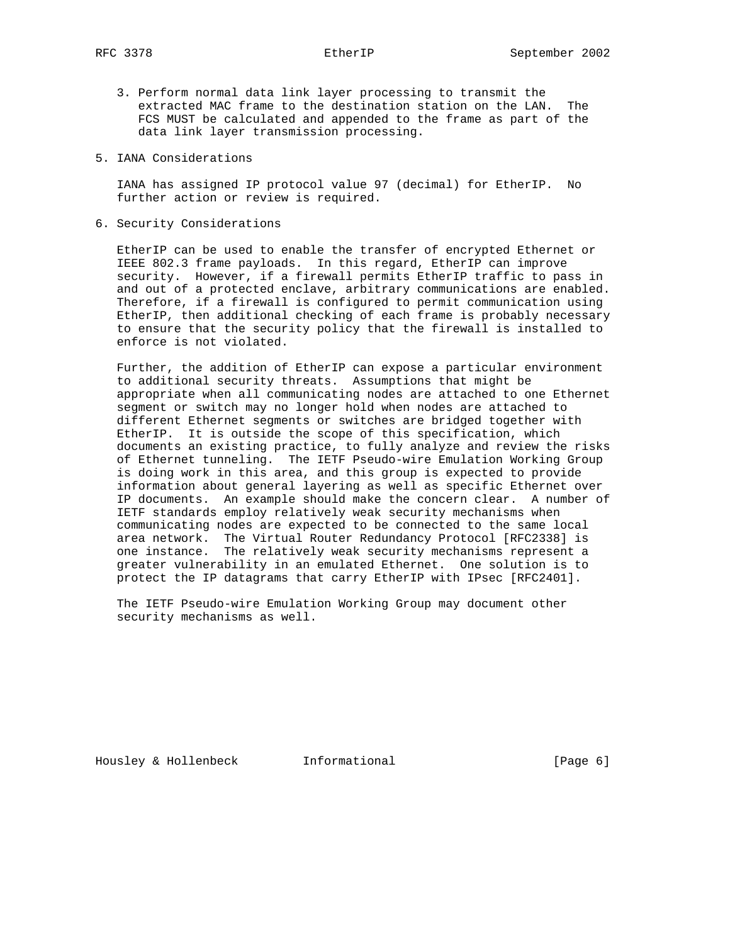- 3. Perform normal data link layer processing to transmit the extracted MAC frame to the destination station on the LAN. The FCS MUST be calculated and appended to the frame as part of the data link layer transmission processing.
- 5. IANA Considerations

 IANA has assigned IP protocol value 97 (decimal) for EtherIP. No further action or review is required.

6. Security Considerations

 EtherIP can be used to enable the transfer of encrypted Ethernet or IEEE 802.3 frame payloads. In this regard, EtherIP can improve security. However, if a firewall permits EtherIP traffic to pass in and out of a protected enclave, arbitrary communications are enabled. Therefore, if a firewall is configured to permit communication using EtherIP, then additional checking of each frame is probably necessary to ensure that the security policy that the firewall is installed to enforce is not violated.

 Further, the addition of EtherIP can expose a particular environment to additional security threats. Assumptions that might be appropriate when all communicating nodes are attached to one Ethernet segment or switch may no longer hold when nodes are attached to different Ethernet segments or switches are bridged together with EtherIP. It is outside the scope of this specification, which documents an existing practice, to fully analyze and review the risks of Ethernet tunneling. The IETF Pseudo-wire Emulation Working Group is doing work in this area, and this group is expected to provide information about general layering as well as specific Ethernet over IP documents. An example should make the concern clear. A number of IETF standards employ relatively weak security mechanisms when communicating nodes are expected to be connected to the same local area network. The Virtual Router Redundancy Protocol [RFC2338] is one instance. The relatively weak security mechanisms represent a greater vulnerability in an emulated Ethernet. One solution is to protect the IP datagrams that carry EtherIP with IPsec [RFC2401].

 The IETF Pseudo-wire Emulation Working Group may document other security mechanisms as well.

Housley & Hollenbeck Informational [Page 6]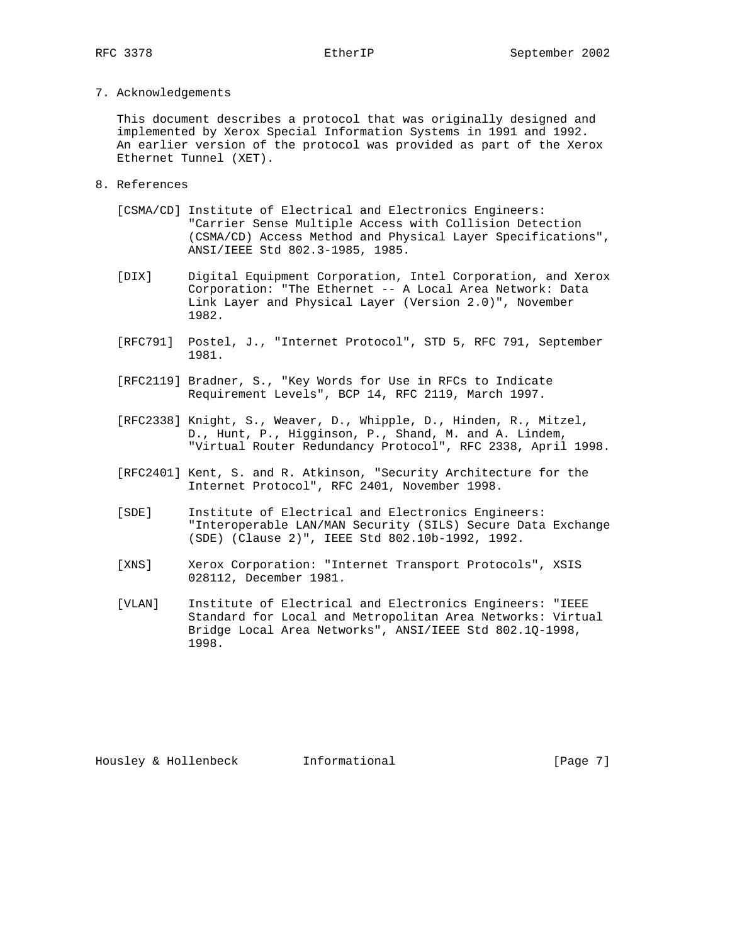# 7. Acknowledgements

 This document describes a protocol that was originally designed and implemented by Xerox Special Information Systems in 1991 and 1992. An earlier version of the protocol was provided as part of the Xerox Ethernet Tunnel (XET).

- 8. References
	- [CSMA/CD] Institute of Electrical and Electronics Engineers: "Carrier Sense Multiple Access with Collision Detection (CSMA/CD) Access Method and Physical Layer Specifications", ANSI/IEEE Std 802.3-1985, 1985.
	- [DIX] Digital Equipment Corporation, Intel Corporation, and Xerox Corporation: "The Ethernet -- A Local Area Network: Data Link Layer and Physical Layer (Version 2.0)", November 1982.
	- [RFC791] Postel, J., "Internet Protocol", STD 5, RFC 791, September 1981.
	- [RFC2119] Bradner, S., "Key Words for Use in RFCs to Indicate Requirement Levels", BCP 14, RFC 2119, March 1997.
- [RFC2338] Knight, S., Weaver, D., Whipple, D., Hinden, R., Mitzel, D., Hunt, P., Higginson, P., Shand, M. and A. Lindem, "Virtual Router Redundancy Protocol", RFC 2338, April 1998.
	- [RFC2401] Kent, S. and R. Atkinson, "Security Architecture for the Internet Protocol", RFC 2401, November 1998.
	- [SDE] Institute of Electrical and Electronics Engineers: "Interoperable LAN/MAN Security (SILS) Secure Data Exchange (SDE) (Clause 2)", IEEE Std 802.10b-1992, 1992.
	- [XNS] Xerox Corporation: "Internet Transport Protocols", XSIS 028112, December 1981.
	- [VLAN] Institute of Electrical and Electronics Engineers: "IEEE Standard for Local and Metropolitan Area Networks: Virtual Bridge Local Area Networks", ANSI/IEEE Std 802.1Q-1998, 1998.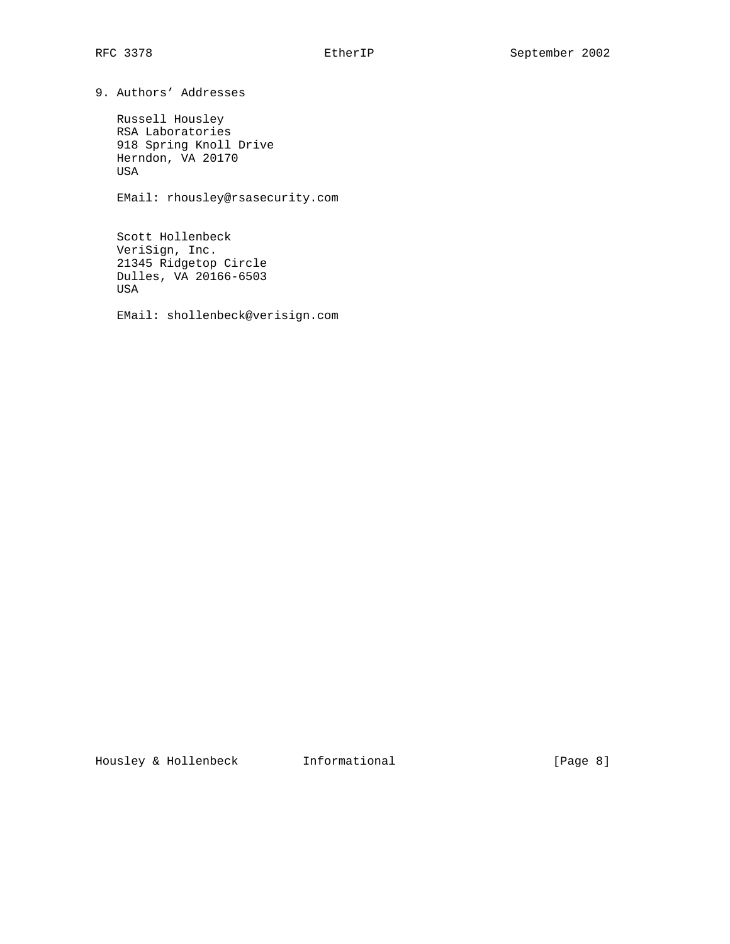9. Authors' Addresses

 Russell Housley RSA Laboratories 918 Spring Knoll Drive Herndon, VA 20170 USA

EMail: rhousley@rsasecurity.com

 Scott Hollenbeck VeriSign, Inc. 21345 Ridgetop Circle Dulles, VA 20166-6503 USA

EMail: shollenbeck@verisign.com